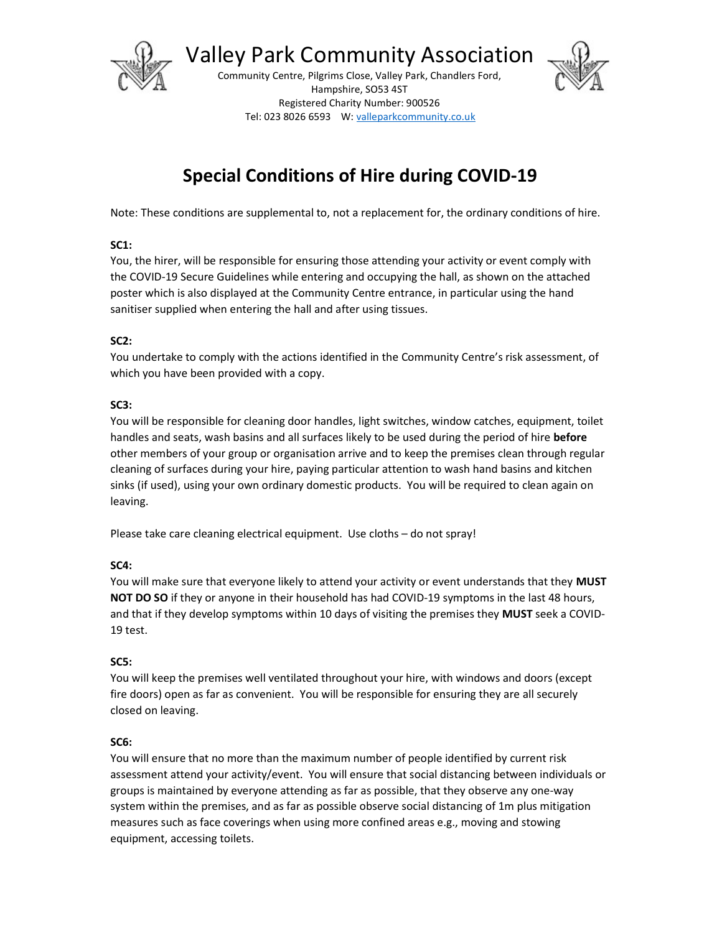

Valley Park Community Association

Community Centre, Pilgrims Close, Valley Park, Chandlers Ford, Hampshire, SO53 4ST Registered Charity Number: 900526 Tel: 023 8026 6593 W: valleparkcommunity.co.uk



# Special Conditions of Hire during COVID-19

Note: These conditions are supplemental to, not a replacement for, the ordinary conditions of hire.

#### SC1:

You, the hirer, will be responsible for ensuring those attending your activity or event comply with the COVID-19 Secure Guidelines while entering and occupying the hall, as shown on the attached poster which is also displayed at the Community Centre entrance, in particular using the hand sanitiser supplied when entering the hall and after using tissues.

#### SC2:

You undertake to comply with the actions identified in the Community Centre's risk assessment, of which you have been provided with a copy.

#### SC3:

You will be responsible for cleaning door handles, light switches, window catches, equipment, toilet handles and seats, wash basins and all surfaces likely to be used during the period of hire before other members of your group or organisation arrive and to keep the premises clean through regular cleaning of surfaces during your hire, paying particular attention to wash hand basins and kitchen sinks (if used), using your own ordinary domestic products. You will be required to clean again on leaving.

Please take care cleaning electrical equipment. Use cloths – do not spray!

#### SC4:

You will make sure that everyone likely to attend your activity or event understands that they MUST NOT DO SO if they or anyone in their household has had COVID-19 symptoms in the last 48 hours, and that if they develop symptoms within 10 days of visiting the premises they MUST seek a COVID-19 test.

#### SC5:

You will keep the premises well ventilated throughout your hire, with windows and doors (except fire doors) open as far as convenient. You will be responsible for ensuring they are all securely closed on leaving.

#### SC6:

You will ensure that no more than the maximum number of people identified by current risk assessment attend your activity/event. You will ensure that social distancing between individuals or groups is maintained by everyone attending as far as possible, that they observe any one-way system within the premises, and as far as possible observe social distancing of 1m plus mitigation measures such as face coverings when using more confined areas e.g., moving and stowing equipment, accessing toilets.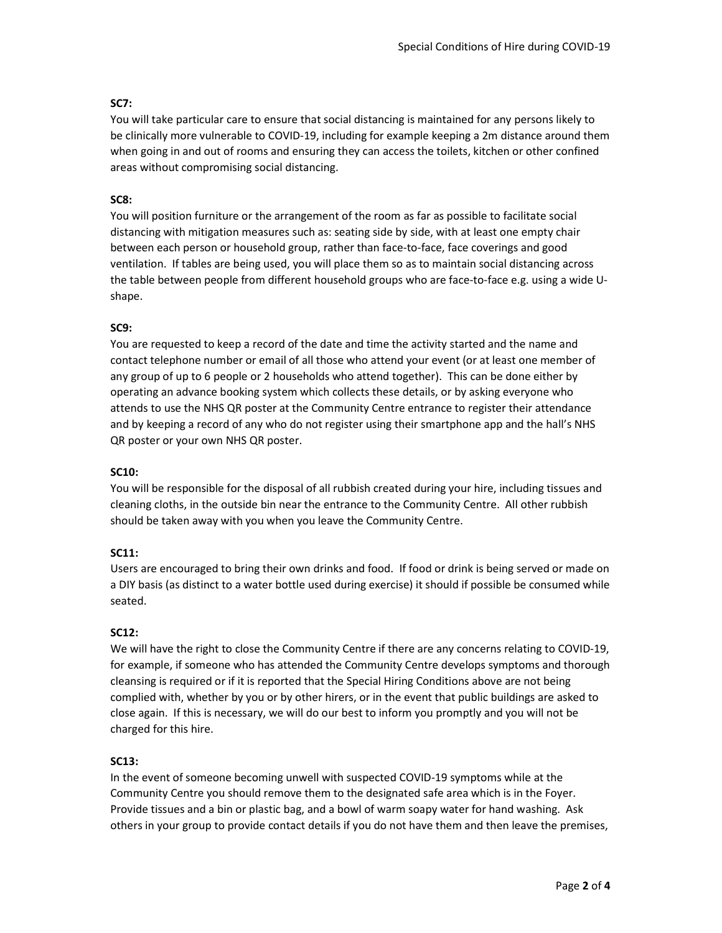#### SC7:

You will take particular care to ensure that social distancing is maintained for any persons likely to be clinically more vulnerable to COVID-19, including for example keeping a 2m distance around them when going in and out of rooms and ensuring they can access the toilets, kitchen or other confined areas without compromising social distancing.

#### SC8:

You will position furniture or the arrangement of the room as far as possible to facilitate social distancing with mitigation measures such as: seating side by side, with at least one empty chair between each person or household group, rather than face-to-face, face coverings and good ventilation. If tables are being used, you will place them so as to maintain social distancing across the table between people from different household groups who are face-to-face e.g. using a wide Ushape.

#### SC9:

You are requested to keep a record of the date and time the activity started and the name and contact telephone number or email of all those who attend your event (or at least one member of any group of up to 6 people or 2 households who attend together). This can be done either by operating an advance booking system which collects these details, or by asking everyone who attends to use the NHS QR poster at the Community Centre entrance to register their attendance and by keeping a record of any who do not register using their smartphone app and the hall's NHS QR poster or your own NHS QR poster.

#### SC10:

You will be responsible for the disposal of all rubbish created during your hire, including tissues and cleaning cloths, in the outside bin near the entrance to the Community Centre. All other rubbish should be taken away with you when you leave the Community Centre.

#### SC11:

Users are encouraged to bring their own drinks and food. If food or drink is being served or made on a DIY basis (as distinct to a water bottle used during exercise) it should if possible be consumed while seated.

#### SC12:

We will have the right to close the Community Centre if there are any concerns relating to COVID-19, for example, if someone who has attended the Community Centre develops symptoms and thorough cleansing is required or if it is reported that the Special Hiring Conditions above are not being complied with, whether by you or by other hirers, or in the event that public buildings are asked to close again. If this is necessary, we will do our best to inform you promptly and you will not be charged for this hire.

#### SC13:

In the event of someone becoming unwell with suspected COVID-19 symptoms while at the Community Centre you should remove them to the designated safe area which is in the Foyer. Provide tissues and a bin or plastic bag, and a bowl of warm soapy water for hand washing. Ask others in your group to provide contact details if you do not have them and then leave the premises,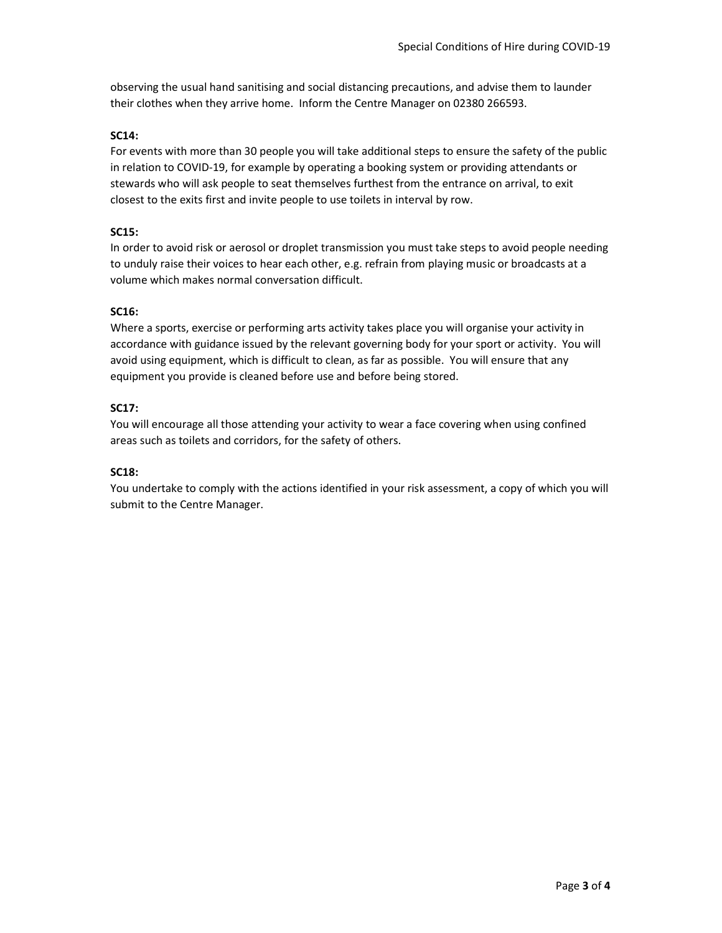observing the usual hand sanitising and social distancing precautions, and advise them to launder their clothes when they arrive home. Inform the Centre Manager on 02380 266593.

#### SC14:

For events with more than 30 people you will take additional steps to ensure the safety of the public in relation to COVID-19, for example by operating a booking system or providing attendants or stewards who will ask people to seat themselves furthest from the entrance on arrival, to exit closest to the exits first and invite people to use toilets in interval by row.

#### SC15:

In order to avoid risk or aerosol or droplet transmission you must take steps to avoid people needing to unduly raise their voices to hear each other, e.g. refrain from playing music or broadcasts at a volume which makes normal conversation difficult.

#### SC16:

Where a sports, exercise or performing arts activity takes place you will organise your activity in accordance with guidance issued by the relevant governing body for your sport or activity. You will avoid using equipment, which is difficult to clean, as far as possible. You will ensure that any equipment you provide is cleaned before use and before being stored.

#### SC17:

You will encourage all those attending your activity to wear a face covering when using confined areas such as toilets and corridors, for the safety of others.

#### SC18:

You undertake to comply with the actions identified in your risk assessment, a copy of which you will submit to the Centre Manager.